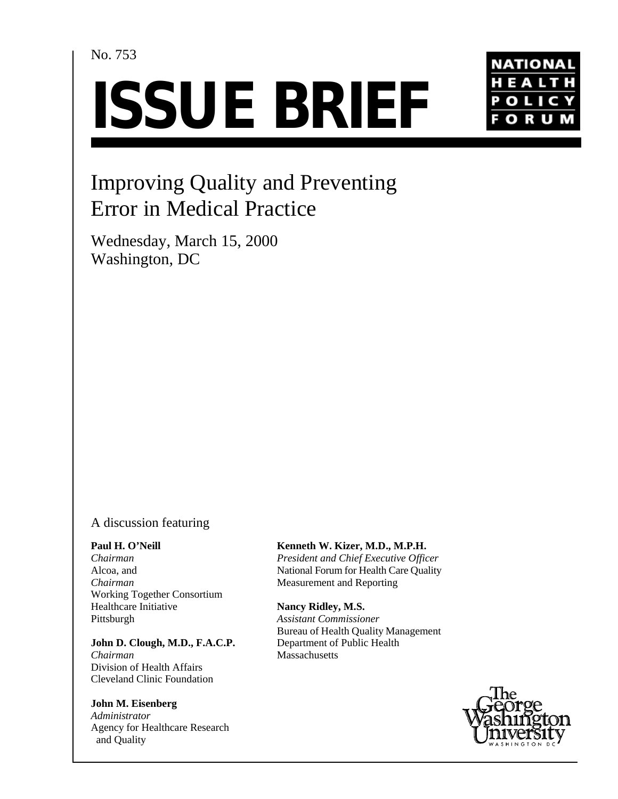# No. 753

# **ISSUE BRIEF**



# Improving Quality and Preventing Error in Medical Practice

Wednesday, March 15, 2000 Washington, DC

# A discussion featuring

#### **Paul H. O'Neill**

*Chairman* Alcoa, and *Chairman* Working Together Consortium Healthcare Initiative Pittsburgh

#### **John D. Clough, M.D., F.A.C.P.**

*Chairman* Division of Health Affairs Cleveland Clinic Foundation

### **John M. Eisenberg**

*Administrator* Agency for Healthcare Research and Quality

## **Kenneth W. Kizer, M.D., M.P.H.**

*President and Chief Executive Officer* National Forum for Health Care Quality Measurement and Reporting

#### **Nancy Ridley, M.S.**

*Assistant Commissioner* Bureau of Health Quality Management Department of Public Health **Massachusetts** 

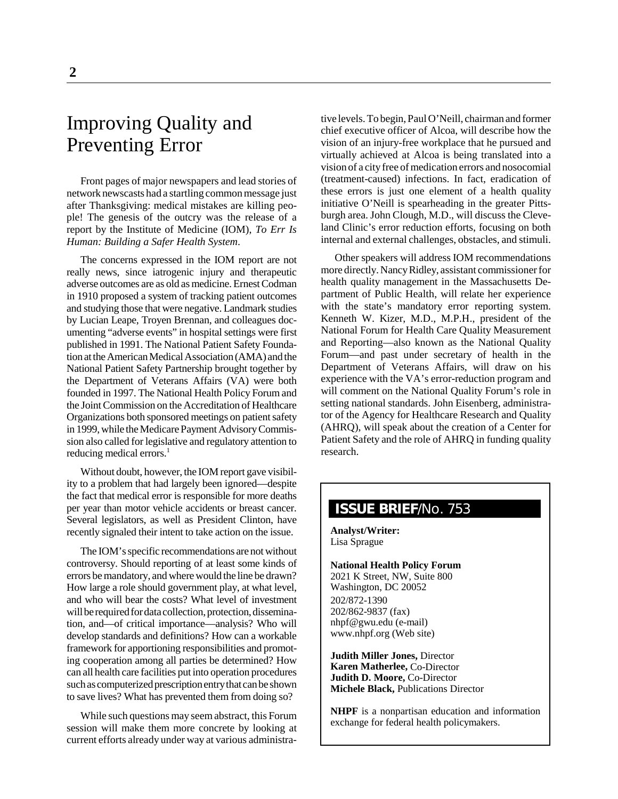# Improving Quality and Preventing Error

Front pages of major newspapers and lead stories of network newscasts had a startling common message just after Thanksgiving: medical mistakes are killing people! The genesis of the outcry was the release of a report by the Institute of Medicine (IOM), *To Err Is Human: Building a Safer Health System*.

The concerns expressed in the IOM report are not really news, since iatrogenic injury and therapeutic adverse outcomes are as old as medicine. Ernest Codman in 1910 proposed a system of tracking patient outcomes and studying those that were negative. Landmark studies by Lucian Leape, Troyen Brennan, and colleagues documenting "adverse events" in hospital settings were first published in 1991. The National Patient Safety Foundation at the American Medical Association (AMA) and the National Patient Safety Partnership brought together by the Department of Veterans Affairs (VA) were both founded in 1997. The National Health Policy Forum and the Joint Commission on the Accreditation of Healthcare Organizations both sponsored meetings on patient safety in 1999, while the Medicare Payment Advisory Commission also called for legislative and regulatory attention to reducing medical errors.<sup>1</sup>

Without doubt, however, the IOM report gave visibility to a problem that had largely been ignored—despite the fact that medical error is responsible for more deaths per year than motor vehicle accidents or breast cancer. Several legislators, as well as President Clinton, have recently signaled their intent to take action on the issue.

The IOM's specific recommendations are not without controversy. Should reporting of at least some kinds of errors be mandatory, and where would the line be drawn? How large a role should government play, at what level, and who will bear the costs? What level of investment will be required for data collection, protection, dissemination, and—of critical importance—analysis? Who will develop standards and definitions? How can a workable framework for apportioning responsibilities and promoting cooperation among all parties be determined? How can all health care facilities put into operation procedures such as computerized prescription entry that can be shown to save lives? What has prevented them from doing so?

While such questions may seem abstract, this Forum session will make them more concrete by looking at current efforts already under way at various administrative levels. To begin, Paul O'Neill, chairman and former chief executive officer of Alcoa, will describe how the vision of an injury-free workplace that he pursued and virtually achieved at Alcoa is being translated into a vision of a city free of medication errors and nosocomial (treatment-caused) infections. In fact, eradication of these errors is just one element of a health quality initiative O'Neill is spearheading in the greater Pittsburgh area. John Clough, M.D., will discuss the Cleveland Clinic's error reduction efforts, focusing on both internal and external challenges, obstacles, and stimuli.

Other speakers will address IOM recommendations more directly. Nancy Ridley, assistant commissioner for health quality management in the Massachusetts Department of Public Health, will relate her experience with the state's mandatory error reporting system. Kenneth W. Kizer, M.D., M.P.H., president of the National Forum for Health Care Quality Measurement and Reporting—also known as the National Quality Forum—and past under secretary of health in the Department of Veterans Affairs, will draw on his experience with the VA's error-reduction program and will comment on the National Quality Forum's role in setting national standards. John Eisenberg, administrator of the Agency for Healthcare Research and Quality (AHRQ), will speak about the creation of a Center for Patient Safety and the role of AHRQ in funding quality research.

# **ISSUE BRIEF**/No. 753

**Analyst/Writer:** Lisa Sprague

**National Health Policy Forum** 2021 K Street, NW, Suite 800 Washington, DC 20052 202/872-1390 202/862-9837 (fax) nhpf@gwu.edu (e-mail) www.nhpf.org (Web site)

**Judith Miller Jones,** Director **Karen Matherlee,** Co-Director **Judith D. Moore,** Co-Director **Michele Black,** Publications Director

**NHPF** is a nonpartisan education and information exchange for federal health policymakers.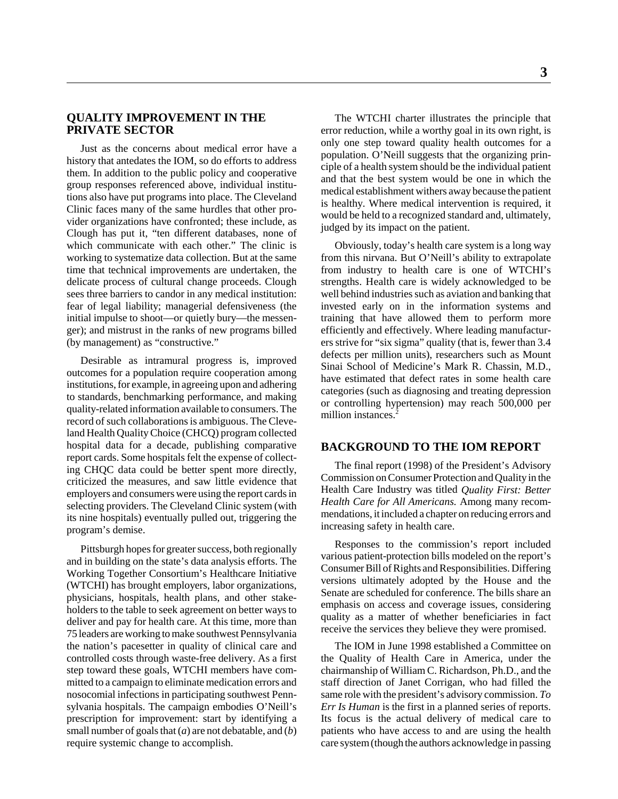#### **QUALITY IMPROVEMENT IN THE PRIVATE SECTOR**

Just as the concerns about medical error have a history that antedates the IOM, so do efforts to address them. In addition to the public policy and cooperative group responses referenced above, individual institutions also have put programs into place. The Cleveland Clinic faces many of the same hurdles that other provider organizations have confronted; these include, as Clough has put it, "ten different databases, none of which communicate with each other." The clinic is working to systematize data collection. But at the same time that technical improvements are undertaken, the delicate process of cultural change proceeds. Clough sees three barriers to candor in any medical institution: fear of legal liability; managerial defensiveness (the initial impulse to shoot—or quietly bury—the messenger); and mistrust in the ranks of new programs billed (by management) as "constructive."

Desirable as intramural progress is, improved outcomes for a population require cooperation among institutions, for example, in agreeing upon and adhering to standards, benchmarking performance, and making quality-related information available to consumers. The record of such collaborations is ambiguous. The Cleveland Health Quality Choice (CHCQ) program collected hospital data for a decade, publishing comparative report cards. Some hospitals felt the expense of collecting CHQC data could be better spent more directly, criticized the measures, and saw little evidence that employers and consumers were using the report cards in selecting providers. The Cleveland Clinic system (with its nine hospitals) eventually pulled out, triggering the program's demise.

Pittsburgh hopes for greater success, both regionally and in building on the state's data analysis efforts. The Working Together Consortium's Healthcare Initiative (WTCHI) has brought employers, labor organizations, physicians, hospitals, health plans, and other stakeholders to the table to seek agreement on better ways to deliver and pay for health care. At this time, more than 75 leaders are working to make southwest Pennsylvania the nation's pacesetter in quality of clinical care and controlled costs through waste-free delivery. As a first step toward these goals, WTCHI members have committed to a campaign to eliminate medication errors and nosocomial infections in participating southwest Pennsylvania hospitals. The campaign embodies O'Neill's prescription for improvement: start by identifying a small number of goals that (*a*) are not debatable, and (*b*) require systemic change to accomplish.

The WTCHI charter illustrates the principle that error reduction, while a worthy goal in its own right, is only one step toward quality health outcomes for a population. O'Neill suggests that the organizing principle of a health system should be the individual patient and that the best system would be one in which the medical establishment withers away because the patient is healthy. Where medical intervention is required, it would be held to a recognized standard and, ultimately, judged by its impact on the patient.

Obviously, today's health care system is a long way from this nirvana. But O'Neill's ability to extrapolate from industry to health care is one of WTCHI's strengths. Health care is widely acknowledged to be well behind industries such as aviation and banking that invested early on in the information systems and training that have allowed them to perform more efficiently and effectively. Where leading manufacturers strive for "six sigma" quality (that is, fewer than 3.4 defects per million units), researchers such as Mount Sinai School of Medicine's Mark R. Chassin, M.D., have estimated that defect rates in some health care categories (such as diagnosing and treating depression or controlling hypertension) may reach 500,000 per million instances.<sup>2</sup>

#### **BACKGROUND TO THE IOM REPORT**

The final report (1998) of the President's Advisory Commission on Consumer Protection and Quality in the Health Care Industry was titled *Quality First: Better Health Care for All Americans.* Among many recommendations, it included a chapter on reducing errors and increasing safety in health care.

Responses to the commission's report included various patient-protection bills modeled on the report's Consumer Bill of Rights and Responsibilities. Differing versions ultimately adopted by the House and the Senate are scheduled for conference. The bills share an emphasis on access and coverage issues, considering quality as a matter of whether beneficiaries in fact receive the services they believe they were promised.

The IOM in June 1998 established a Committee on the Quality of Health Care in America, under the chairmanship of William C. Richardson, Ph.D., and the staff direction of Janet Corrigan, who had filled the same role with the president's advisory commission. *To Err Is Human* is the first in a planned series of reports. Its focus is the actual delivery of medical care to patients who have access to and are using the health care system (though the authors acknowledge in passing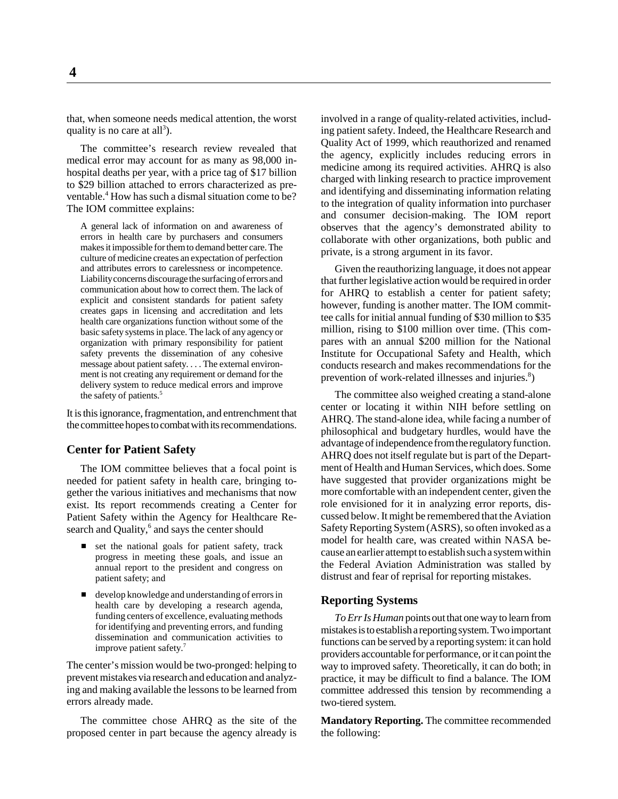that, when someone needs medical attention, the worst quality is no care at all<sup>3</sup>).

The committee's research review revealed that medical error may account for as many as 98,000 inhospital deaths per year, with a price tag of \$17 billion to \$29 billion attached to errors characterized as preventable.<sup>4</sup> How has such a dismal situation come to be? The IOM committee explains:

A general lack of information on and awareness of errors in health care by purchasers and consumers makes it impossible for them to demand better care. The culture of medicine creates an expectation of perfection and attributes errors to carelessness or incompetence. Liability concerns discourage the surfacing of errors and communication about how to correct them. The lack of explicit and consistent standards for patient safety creates gaps in licensing and accreditation and lets health care organizations function without some of the basic safety systems in place. The lack of any agency or organization with primary responsibility for patient safety prevents the dissemination of any cohesive message about patient safety. . . . The external environment is not creating any requirement or demand for the delivery system to reduce medical errors and improve the safety of patients.<sup>5</sup>

It is this ignorance, fragmentation, and entrenchment that the committee hopes to combat with its recommendations.

#### **Center for Patient Safety**

The IOM committee believes that a focal point is needed for patient safety in health care, bringing together the various initiatives and mechanisms that now exist. Its report recommends creating a Center for Patient Safety within the Agency for Healthcare Research and Quality,<sup>6</sup> and says the center should

- set the national goals for patient safety, track progress in meeting these goals, and issue an annual report to the president and congress on patient safety; and
- $\overline{a}$  develop knowledge and understanding of errors in health care by developing a research agenda, funding centers of excellence, evaluating methods for identifying and preventing errors, and funding dissemination and communication activities to improve patient safety.7

The center's mission would be two-pronged: helping to prevent mistakes via research and education and analyzing and making available the lessons to be learned from errors already made.

The committee chose AHRQ as the site of the proposed center in part because the agency already is

involved in a range of quality-related activities, including patient safety. Indeed, the Healthcare Research and Quality Act of 1999, which reauthorized and renamed the agency, explicitly includes reducing errors in medicine among its required activities. AHRQ is also charged with linking research to practice improvement and identifying and disseminating information relating to the integration of quality information into purchaser and consumer decision-making. The IOM report observes that the agency's demonstrated ability to collaborate with other organizations, both public and private, is a strong argument in its favor.

Given the reauthorizing language, it does not appear that further legislative action would be required in order for AHRQ to establish a center for patient safety; however, funding is another matter. The IOM committee calls for initial annual funding of \$30 million to \$35 million, rising to \$100 million over time. (This compares with an annual \$200 million for the National Institute for Occupational Safety and Health, which conducts research and makes recommendations for the prevention of work-related illnesses and injuries. $8$ )

The committee also weighed creating a stand-alone center or locating it within NIH before settling on AHRQ. The stand-alone idea, while facing a number of philosophical and budgetary hurdles, would have the advantage of independence from the regulatory function. AHRQ does not itself regulate but is part of the Department of Health and Human Services, which does. Some have suggested that provider organizations might be more comfortable with an independent center, given the role envisioned for it in analyzing error reports, discussed below. It might be remembered that the Aviation Safety Reporting System (ASRS), so often invoked as a model for health care, was created within NASA because an earlier attempt to establish such a system within the Federal Aviation Administration was stalled by distrust and fear of reprisal for reporting mistakes.

#### **Reporting Systems**

*To Err Is Human* points out that one way to learn from mistakes is to establish a reporting system. Two important functions can be served by a reporting system: it can hold providers accountable for performance, or it can point the way to improved safety. Theoretically, it can do both; in practice, it may be difficult to find a balance. The IOM committee addressed this tension by recommending a two-tiered system.

**Mandatory Reporting.** The committee recommended the following: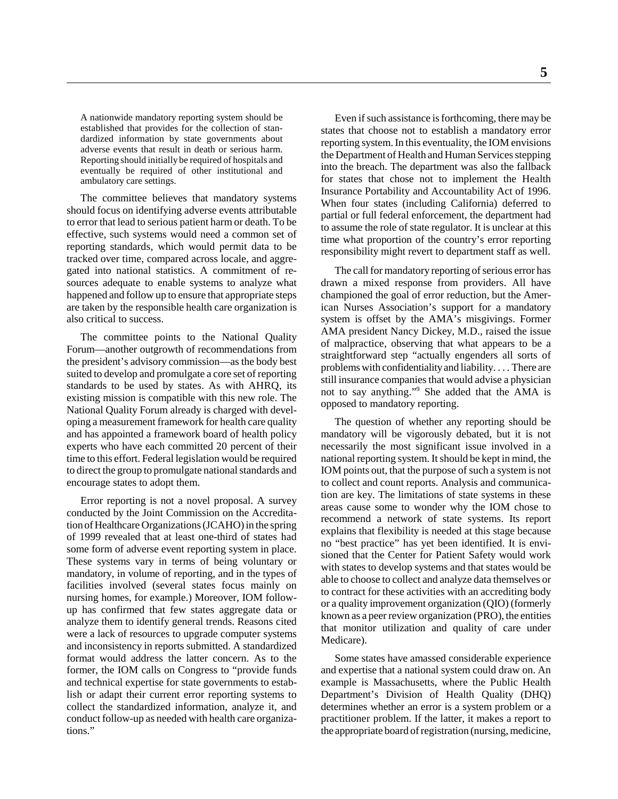A nationwide mandatory reporting system should be established that provides for the collection of standardized information by state governments about adverse events that result in death or serious harm. Reporting should initially be required of hospitals and eventually be required of other institutional and ambulatory care settings.

The committee believes that mandatory systems should focus on identifying adverse events attributable to error that lead to serious patient harm or death. To be effective, such systems would need a common set of reporting standards, which would permit data to be tracked over time, compared across locale, and aggregated into national statistics. A commitment of resources adequate to enable systems to analyze what happened and follow up to ensure that appropriate steps are taken by the responsible health care organization is also critical to success.

The committee points to the National Quality Forum—another outgrowth of recommendations from the president's advisory commission—as the body best suited to develop and promulgate a core set of reporting standards to be used by states. As with AHRQ, its existing mission is compatible with this new role. The National Quality Forum already is charged with developing a measurement framework for health care quality and has appointed a framework board of health policy experts who have each committed 20 percent of their time to this effort. Federal legislation would be required to direct the group to promulgate national standards and encourage states to adopt them.

Error reporting is not a novel proposal. A survey conducted by the Joint Commission on the Accreditation of Healthcare Organizations (JCAHO) in the spring of 1999 revealed that at least one-third of states had some form of adverse event reporting system in place. These systems vary in terms of being voluntary or mandatory, in volume of reporting, and in the types of facilities involved (several states focus mainly on nursing homes, for example.) Moreover, IOM followup has confirmed that few states aggregate data or analyze them to identify general trends. Reasons cited were a lack of resources to upgrade computer systems and inconsistency in reports submitted. A standardized format would address the latter concern. As to the former, the IOM calls on Congress to "provide funds and technical expertise for state governments to establish or adapt their current error reporting systems to collect the standardized information, analyze it, and conduct follow-up as needed with health care organizations."

Even if such assistance is forthcoming, there may be states that choose not to establish a mandatory error reporting system. In this eventuality, the IOM envisions the Department of Health and Human Services stepping into the breach. The department was also the fallback for states that chose not to implement the Health Insurance Portability and Accountability Act of 1996. When four states (including California) deferred to partial or full federal enforcement, the department had to assume the role of state regulator. It is unclear at this time what proportion of the country's error reporting responsibility might revert to department staff as well.

The call for mandatory reporting of serious error has drawn a mixed response from providers. All have championed the goal of error reduction, but the American Nurses Association's support for a mandatory system is offset by the AMA's misgivings. Former AMA president Nancy Dickey, M.D., raised the issue of malpractice, observing that what appears to be a straightforward step "actually engenders all sorts of problems with confidentiality and liability. . . . There are still insurance companies that would advise a physician not to say anything."9 She added that the AMA is opposed to mandatory reporting.

The question of whether any reporting should be mandatory will be vigorously debated, but it is not necessarily the most significant issue involved in a national reporting system. It should be kept in mind, the IOM points out, that the purpose of such a system is not to collect and count reports. Analysis and communication are key. The limitations of state systems in these areas cause some to wonder why the IOM chose to recommend a network of state systems. Its report explains that flexibility is needed at this stage because no "best practice" has yet been identified. It is envisioned that the Center for Patient Safety would work with states to develop systems and that states would be able to choose to collect and analyze data themselves or to contract for these activities with an accrediting body or a quality improvement organization (QIO) (formerly known as a peer review organization (PRO), the entities that monitor utilization and quality of care under Medicare).

Some states have amassed considerable experience and expertise that a national system could draw on. An example is Massachusetts, where the Public Health Department's Division of Health Quality (DHQ) determines whether an error is a system problem or a practitioner problem. If the latter, it makes a report to the appropriate board of registration (nursing, medicine,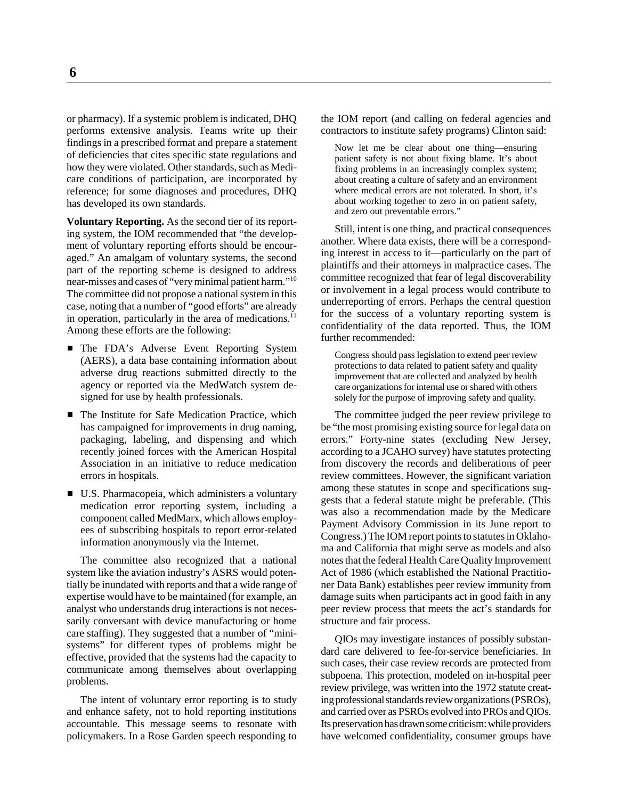or pharmacy). If a systemic problem is indicated, DHQ performs extensive analysis. Teams write up their findings in a prescribed format and prepare a statement of deficiencies that cites specific state regulations and how they were violated. Other standards, such as Medicare conditions of participation, are incorporated by reference; for some diagnoses and procedures, DHQ has developed its own standards.

**Voluntary Reporting.** As the second tier of its reporting system, the IOM recommended that "the development of voluntary reporting efforts should be encouraged." An amalgam of voluntary systems, the second part of the reporting scheme is designed to address near-misses and cases of "very minimal patient harm."10 The committee did not propose a national system in this case, noting that a number of "good efforts" are already in operation, particularly in the area of medications. $^{11}$ Among these efforts are the following:

- The FDA's Adverse Event Reporting System (AERS), a data base containing information about adverse drug reactions submitted directly to the agency or reported via the MedWatch system designed for use by health professionals.
- The Institute for Safe Medication Practice, which has campaigned for improvements in drug naming, packaging, labeling, and dispensing and which recently joined forces with the American Hospital Association in an initiative to reduce medication errors in hospitals.
- U.S. Pharmacopeia, which administers a voluntary medication error reporting system, including a component called MedMarx, which allows employees of subscribing hospitals to report error-related information anonymously via the Internet.

The committee also recognized that a national system like the aviation industry's ASRS would potentially be inundated with reports and that a wide range of expertise would have to be maintained (for example, an analyst who understands drug interactions is not necessarily conversant with device manufacturing or home care staffing). They suggested that a number of "minisystems" for different types of problems might be effective, provided that the systems had the capacity to communicate among themselves about overlapping problems.

The intent of voluntary error reporting is to study and enhance safety, not to hold reporting institutions accountable. This message seems to resonate with policymakers. In a Rose Garden speech responding to

the IOM report (and calling on federal agencies and contractors to institute safety programs) Clinton said:

Now let me be clear about one thing—ensuring patient safety is not about fixing blame. It's about fixing problems in an increasingly complex system; about creating a culture of safety and an environment where medical errors are not tolerated. In short, it's about working together to zero in on patient safety, and zero out preventable errors."

Still, intent is one thing, and practical consequences another. Where data exists, there will be a corresponding interest in access to it—particularly on the part of plaintiffs and their attorneys in malpractice cases. The committee recognized that fear of legal discoverability or involvement in a legal process would contribute to underreporting of errors. Perhaps the central question for the success of a voluntary reporting system is confidentiality of the data reported. Thus, the IOM further recommended:

Congress should pass legislation to extend peer review protections to data related to patient safety and quality improvement that are collected and analyzed by health care organizations for internal use or shared with others solely for the purpose of improving safety and quality.

The committee judged the peer review privilege to be "the most promising existing source for legal data on errors." Forty-nine states (excluding New Jersey, according to a JCAHO survey) have statutes protecting from discovery the records and deliberations of peer review committees. However, the significant variation among these statutes in scope and specifications suggests that a federal statute might be preferable. (This was also a recommendation made by the Medicare Payment Advisory Commission in its June report to Congress.) The IOM report points to statutes in Oklahoma and California that might serve as models and also notes that the federal Health Care Quality Improvement Act of 1986 (which established the National Practitioner Data Bank) establishes peer review immunity from damage suits when participants act in good faith in any peer review process that meets the act's standards for structure and fair process.

QIOs may investigate instances of possibly substandard care delivered to fee-for-service beneficiaries. In such cases, their case review records are protected from subpoena. This protection, modeled on in-hospital peer review privilege, was written into the 1972 statute creating professional standards review organizations (PSROs), and carried over as PSROs evolved into PROs and QIOs. Its preservation has drawn some criticism: while providers have welcomed confidentiality, consumer groups have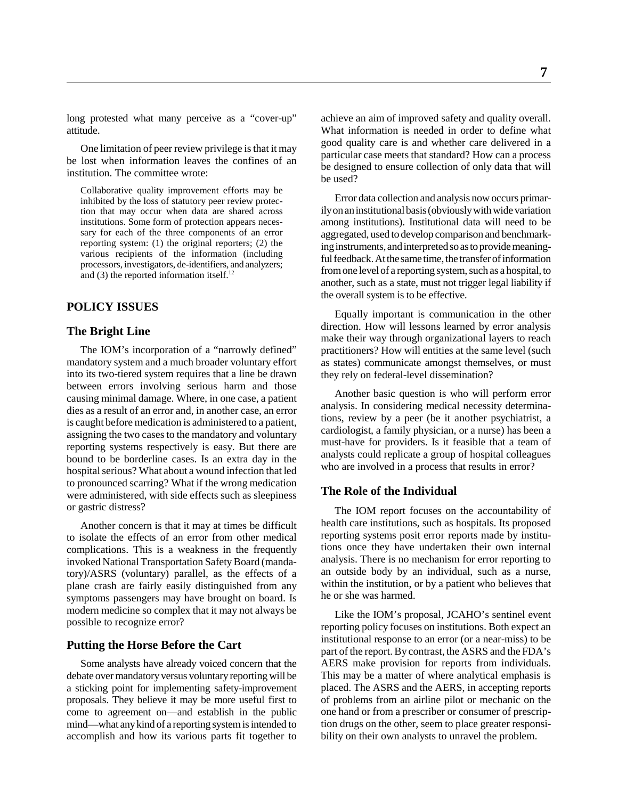long protested what many perceive as a "cover-up" attitude.

One limitation of peer review privilege is that it may be lost when information leaves the confines of an institution. The committee wrote:

Collaborative quality improvement efforts may be inhibited by the loss of statutory peer review protection that may occur when data are shared across institutions. Some form of protection appears necessary for each of the three components of an error reporting system: (1) the original reporters; (2) the various recipients of the information (including processors, investigators, de-identifiers, and analyzers; and  $(3)$  the reported information itself.<sup>12</sup>

#### **POLICY ISSUES**

#### **The Bright Line**

The IOM's incorporation of a "narrowly defined" mandatory system and a much broader voluntary effort into its two-tiered system requires that a line be drawn between errors involving serious harm and those causing minimal damage. Where, in one case, a patient dies as a result of an error and, in another case, an error is caught before medication is administered to a patient, assigning the two cases to the mandatory and voluntary reporting systems respectively is easy. But there are bound to be borderline cases. Is an extra day in the hospital serious? What about a wound infection that led to pronounced scarring? What if the wrong medication were administered, with side effects such as sleepiness or gastric distress?

Another concern is that it may at times be difficult to isolate the effects of an error from other medical complications. This is a weakness in the frequently invoked National Transportation Safety Board (mandatory)/ASRS (voluntary) parallel, as the effects of a plane crash are fairly easily distinguished from any symptoms passengers may have brought on board. Is modern medicine so complex that it may not always be possible to recognize error?

#### **Putting the Horse Before the Cart**

Some analysts have already voiced concern that the debate over mandatory versus voluntary reporting will be a sticking point for implementing safety-improvement proposals. They believe it may be more useful first to come to agreement on—and establish in the public mind—what any kind of a reporting system is intended to accomplish and how its various parts fit together to

achieve an aim of improved safety and quality overall. What information is needed in order to define what good quality care is and whether care delivered in a particular case meets that standard? How can a process be designed to ensure collection of only data that will be used?

Error data collection and analysis now occurs primarily on an institutional basis (obviously with wide variation among institutions). Institutional data will need to be aggregated, used to develop comparison and benchmarking instruments, and interpreted so as to provide meaningful feedback. At the same time, the transfer of information from one level of a reporting system, such as a hospital, to another, such as a state, must not trigger legal liability if the overall system is to be effective.

Equally important is communication in the other direction. How will lessons learned by error analysis make their way through organizational layers to reach practitioners? How will entities at the same level (such as states) communicate amongst themselves, or must they rely on federal-level dissemination?

Another basic question is who will perform error analysis. In considering medical necessity determinations, review by a peer (be it another psychiatrist, a cardiologist, a family physician, or a nurse) has been a must-have for providers. Is it feasible that a team of analysts could replicate a group of hospital colleagues who are involved in a process that results in error?

#### **The Role of the Individual**

The IOM report focuses on the accountability of health care institutions, such as hospitals. Its proposed reporting systems posit error reports made by institutions once they have undertaken their own internal analysis. There is no mechanism for error reporting to an outside body by an individual, such as a nurse, within the institution, or by a patient who believes that he or she was harmed.

Like the IOM's proposal, JCAHO's sentinel event reporting policy focuses on institutions. Both expect an institutional response to an error (or a near-miss) to be part of the report. By contrast, the ASRS and the FDA's AERS make provision for reports from individuals. This may be a matter of where analytical emphasis is placed. The ASRS and the AERS, in accepting reports of problems from an airline pilot or mechanic on the one hand or from a prescriber or consumer of prescription drugs on the other, seem to place greater responsibility on their own analysts to unravel the problem.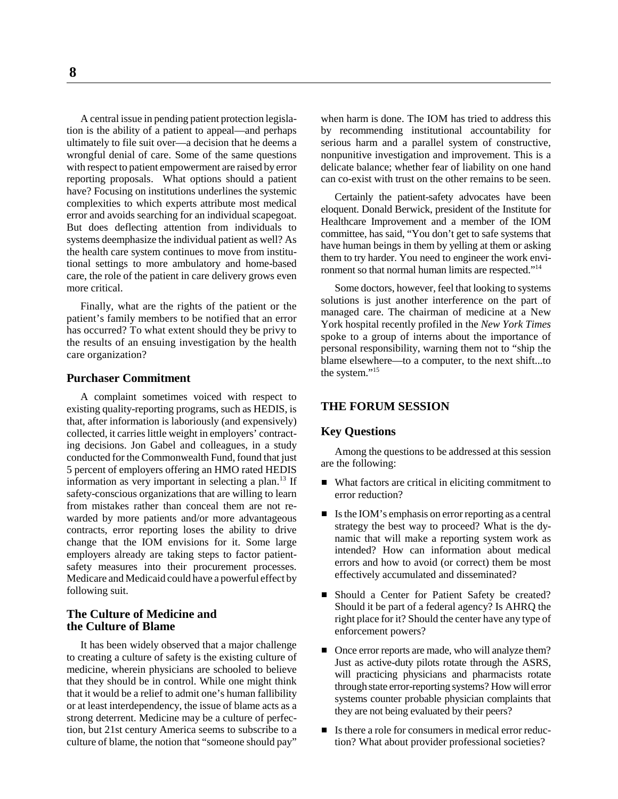A central issue in pending patient protection legislation is the ability of a patient to appeal—and perhaps ultimately to file suit over—a decision that he deems a wrongful denial of care. Some of the same questions with respect to patient empowerment are raised by error reporting proposals. What options should a patient have? Focusing on institutions underlines the systemic complexities to which experts attribute most medical error and avoids searching for an individual scapegoat. But does deflecting attention from individuals to systems deemphasize the individual patient as well? As the health care system continues to move from institutional settings to more ambulatory and home-based care, the role of the patient in care delivery grows even more critical.

Finally, what are the rights of the patient or the patient's family members to be notified that an error has occurred? To what extent should they be privy to the results of an ensuing investigation by the health care organization?

#### **Purchaser Commitment**

A complaint sometimes voiced with respect to existing quality-reporting programs, such as HEDIS, is that, after information is laboriously (and expensively) collected, it carries little weight in employers' contracting decisions. Jon Gabel and colleagues, in a study conducted for the Commonwealth Fund, found that just 5 percent of employers offering an HMO rated HEDIS information as very important in selecting a plan. $13$  If safety-conscious organizations that are willing to learn from mistakes rather than conceal them are not rewarded by more patients and/or more advantageous contracts, error reporting loses the ability to drive change that the IOM envisions for it. Some large employers already are taking steps to factor patientsafety measures into their procurement processes. Medicare and Medicaid could have a powerful effect by following suit.

#### **The Culture of Medicine and the Culture of Blame**

It has been widely observed that a major challenge to creating a culture of safety is the existing culture of medicine, wherein physicians are schooled to believe that they should be in control. While one might think that it would be a relief to admit one's human fallibility or at least interdependency, the issue of blame acts as a strong deterrent. Medicine may be a culture of perfection, but 21st century America seems to subscribe to a culture of blame, the notion that "someone should pay"

when harm is done. The IOM has tried to address this by recommending institutional accountability for serious harm and a parallel system of constructive, nonpunitive investigation and improvement. This is a delicate balance; whether fear of liability on one hand can co-exist with trust on the other remains to be seen.

Certainly the patient-safety advocates have been eloquent. Donald Berwick, president of the Institute for Healthcare Improvement and a member of the IOM committee, has said, "You don't get to safe systems that have human beings in them by yelling at them or asking them to try harder. You need to engineer the work environment so that normal human limits are respected."<sup>14</sup>

Some doctors, however, feel that looking to systems solutions is just another interference on the part of managed care. The chairman of medicine at a New York hospital recently profiled in the *New York Times* spoke to a group of interns about the importance of personal responsibility, warning them not to "ship the blame elsewhere—to a computer, to the next shift...to the system."<sup>15</sup>

#### **THE FORUM SESSION**

#### **Key Questions**

Among the questions to be addressed at this session are the following:

- What factors are critical in eliciting commitment to error reduction?
- Is the IOM's emphasis on error reporting as a central strategy the best way to proceed? What is the dynamic that will make a reporting system work as intended? How can information about medical errors and how to avoid (or correct) them be most effectively accumulated and disseminated?
- Should a Center for Patient Safety be created? Should it be part of a federal agency? Is AHRQ the right place for it? Should the center have any type of enforcement powers?
- Once error reports are made, who will analyze them? Just as active-duty pilots rotate through the ASRS, will practicing physicians and pharmacists rotate through state error-reporting systems? How will error systems counter probable physician complaints that they are not being evaluated by their peers?
- Is there a role for consumers in medical error reduction? What about provider professional societies?